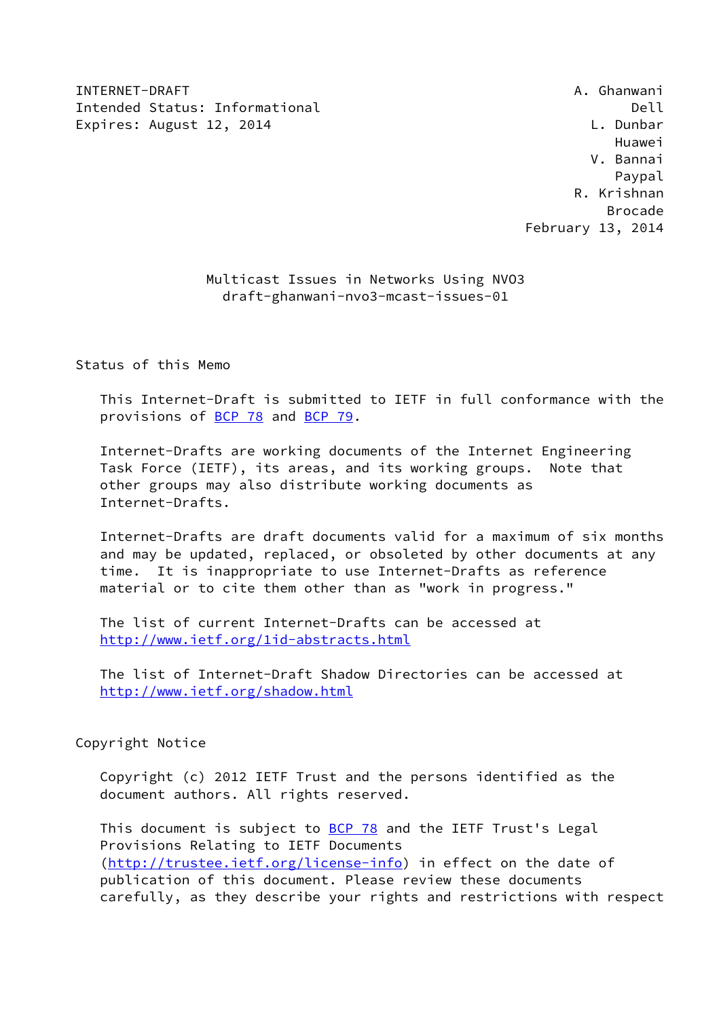INTERNET-DRAFT **A. Ghanwani** Intended Status: Informational developed and Dell Dell Expires: August 12, 2014 **L. Dunbar** 

 Huawei V. Bannai en di sebagai penuturan di sebagai penuturan di sebagai penuturan di sebagai pengerakan pengerakan pengerakan R. Krishnan en de la construction de la construction de la construction de la construction de la construction de la constr February 13, 2014

> Multicast Issues in Networks Using NVO3 draft-ghanwani-nvo3-mcast-issues-01

Status of this Memo

 This Internet-Draft is submitted to IETF in full conformance with the provisions of [BCP 78](https://datatracker.ietf.org/doc/pdf/bcp78) and [BCP 79](https://datatracker.ietf.org/doc/pdf/bcp79).

 Internet-Drafts are working documents of the Internet Engineering Task Force (IETF), its areas, and its working groups. Note that other groups may also distribute working documents as Internet-Drafts.

 Internet-Drafts are draft documents valid for a maximum of six months and may be updated, replaced, or obsoleted by other documents at any time. It is inappropriate to use Internet-Drafts as reference material or to cite them other than as "work in progress."

 The list of current Internet-Drafts can be accessed at <http://www.ietf.org/1id-abstracts.html>

 The list of Internet-Draft Shadow Directories can be accessed at <http://www.ietf.org/shadow.html>

### Copyright Notice

 Copyright (c) 2012 IETF Trust and the persons identified as the document authors. All rights reserved.

This document is subject to **[BCP 78](https://datatracker.ietf.org/doc/pdf/bcp78)** and the IETF Trust's Legal Provisions Relating to IETF Documents [\(http://trustee.ietf.org/license-info](http://trustee.ietf.org/license-info)) in effect on the date of publication of this document. Please review these documents carefully, as they describe your rights and restrictions with respect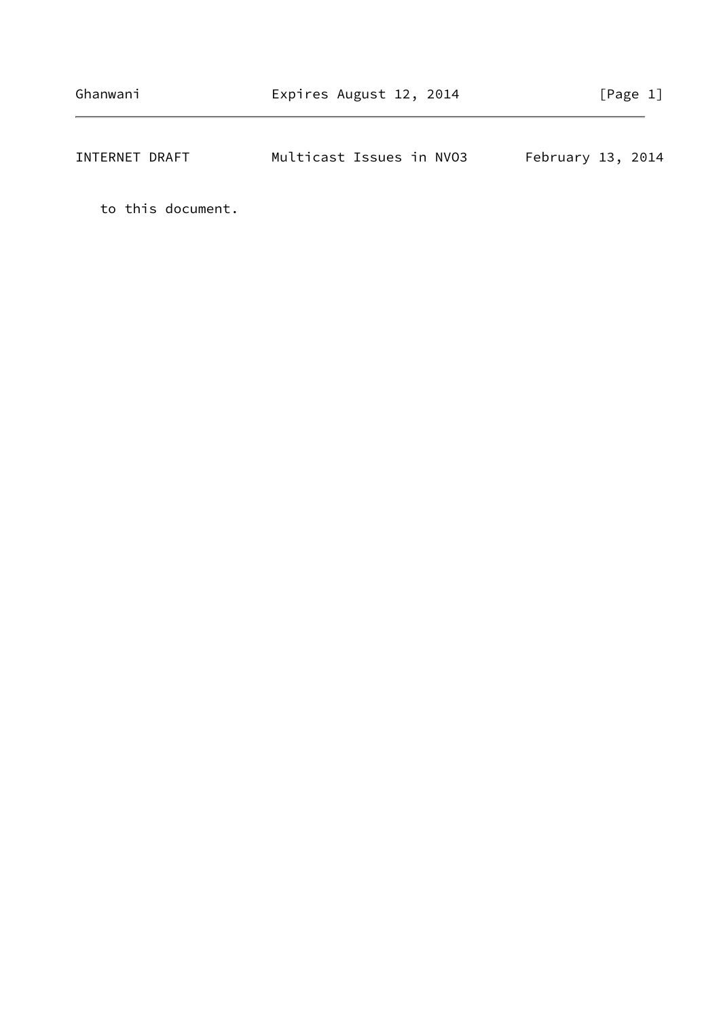| INTERNET DRAFT | Multicast Issues in NVO3 |  | February 13, 2014 |  |
|----------------|--------------------------|--|-------------------|--|
|                |                          |  |                   |  |

to this document.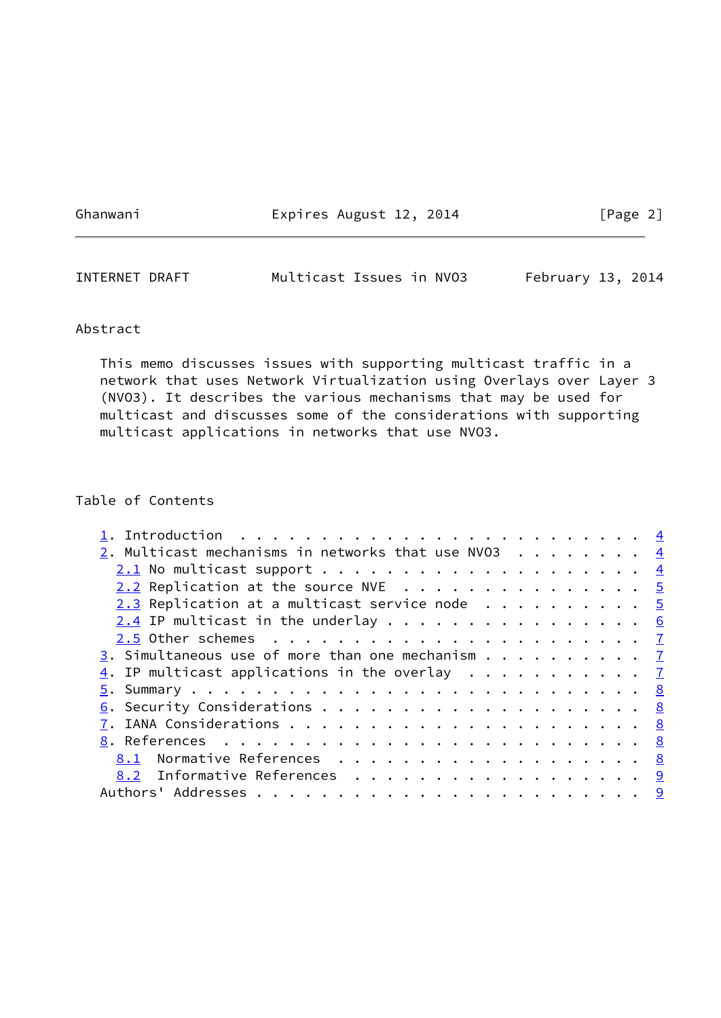Ghanwani **Expires August 12, 2014** [Page 2]

| INTERNET DRAFT | Multicast Issues in NVO3 |  | February 13, 2014 |  |
|----------------|--------------------------|--|-------------------|--|
|                |                          |  |                   |  |

### Abstract

 This memo discusses issues with supporting multicast traffic in a network that uses Network Virtualization using Overlays over Layer 3 (NVO3). It describes the various mechanisms that may be used for multicast and discusses some of the considerations with supporting multicast applications in networks that use NVO3.

# Table of Contents

| 1. Introduction $\ldots \ldots \ldots \ldots \ldots \ldots \ldots \ldots$ |  |
|---------------------------------------------------------------------------|--|
| 2. Multicast mechanisms in networks that use NV03 $\frac{4}{1}$           |  |
|                                                                           |  |
| <u>2.2</u> Replication at the source NVE 5                                |  |
| 2.3 Replication at a multicast service node $\cdots$ 5                    |  |
| $2.4$ IP multicast in the underlay 6                                      |  |
|                                                                           |  |
| 3. Simultaneous use of more than one mechanism $\frac{7}{4}$              |  |
| 4. IP multicast applications in the overlay $\frac{7}{2}$                 |  |
|                                                                           |  |
|                                                                           |  |
|                                                                           |  |
|                                                                           |  |
| 8.1 Normative References 8                                                |  |
| 8.2 Informative References 9                                              |  |
|                                                                           |  |
|                                                                           |  |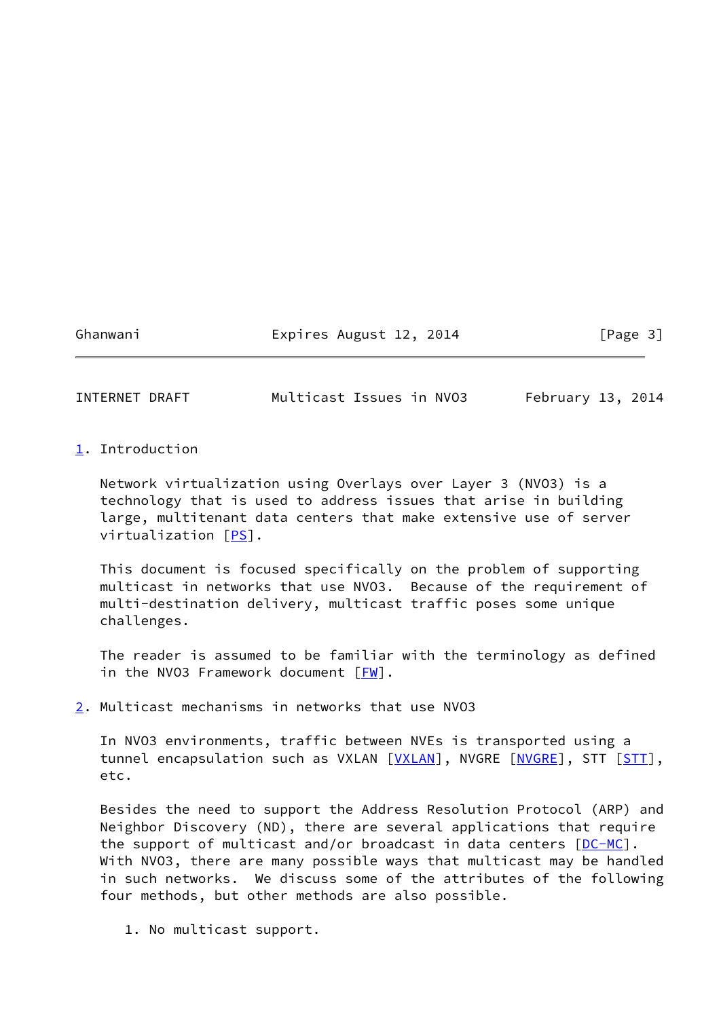Ghanwani Expires August 12, 2014 [Page 3]

<span id="page-3-1"></span>INTERNET DRAFT Multicast Issues in NVO3 February 13, 2014

<span id="page-3-0"></span>[1](#page-3-0). Introduction

 Network virtualization using Overlays over Layer 3 (NVO3) is a technology that is used to address issues that arise in building large, multitenant data centers that make extensive use of server virtualization [\[PS](#page-9-2)].

 This document is focused specifically on the problem of supporting multicast in networks that use NVO3. Because of the requirement of multi-destination delivery, multicast traffic poses some unique challenges.

 The reader is assumed to be familiar with the terminology as defined in the NVO3 Framework document  $[FW]$  $[FW]$ .

<span id="page-3-2"></span>[2](#page-3-2). Multicast mechanisms in networks that use NVO3

 In NVO3 environments, traffic between NVEs is transported using a tunnel encapsulation such as VXLAN [[VXLAN\]](#page-9-4), NVGRE [[NVGRE\]](#page-9-5), STT [\[STT](#page-9-6)], etc.

 Besides the need to support the Address Resolution Protocol (ARP) and Neighbor Discovery (ND), there are several applications that require the support of multicast and/or broadcast in data centers  $[DC-MC]$  $[DC-MC]$ . With NVO3, there are many possible ways that multicast may be handled in such networks. We discuss some of the attributes of the following four methods, but other methods are also possible.

1. No multicast support.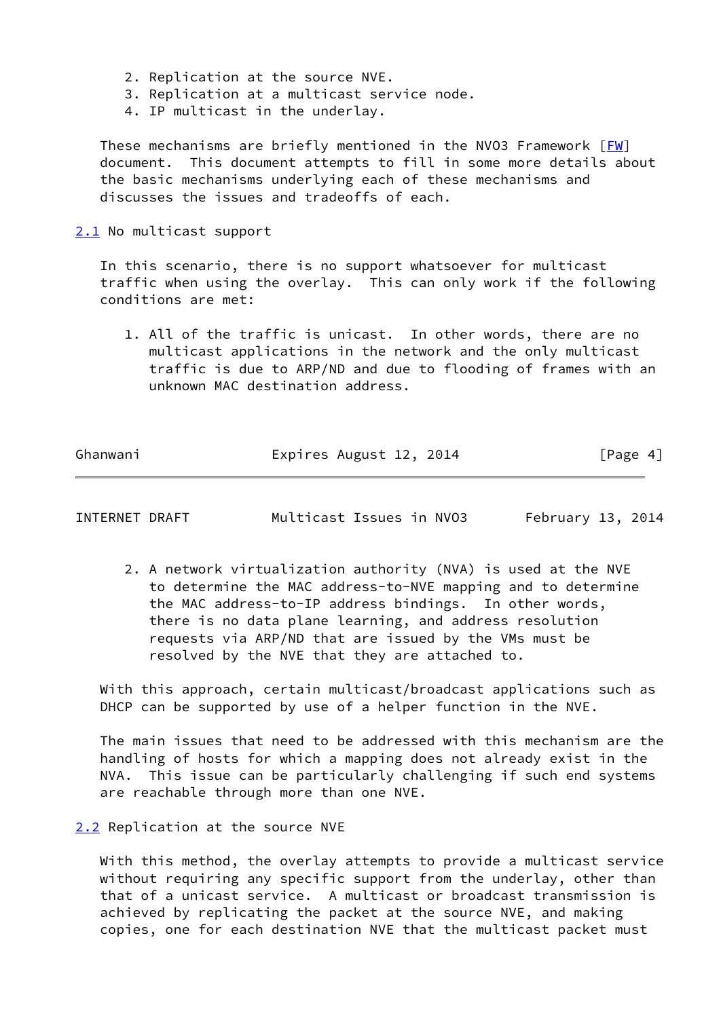- 2. Replication at the source NVE.
- 3. Replication at a multicast service node.
- 4. IP multicast in the underlay.

These mechanisms are briefly mentioned in the NVO3 Framework  $[FW]$  document. This document attempts to fill in some more details about the basic mechanisms underlying each of these mechanisms and discusses the issues and tradeoffs of each.

<span id="page-4-0"></span>[2.1](#page-4-0) No multicast support

 In this scenario, there is no support whatsoever for multicast traffic when using the overlay. This can only work if the following conditions are met:

 1. All of the traffic is unicast. In other words, there are no multicast applications in the network and the only multicast traffic is due to ARP/ND and due to flooding of frames with an unknown MAC destination address.

Ghanwani **Expires August 12, 2014** [Page 4]

<span id="page-4-2"></span>INTERNET DRAFT Multicast Issues in NVO3 February 13, 2014

 2. A network virtualization authority (NVA) is used at the NVE to determine the MAC address-to-NVE mapping and to determine the MAC address-to-IP address bindings. In other words, there is no data plane learning, and address resolution requests via ARP/ND that are issued by the VMs must be resolved by the NVE that they are attached to.

 With this approach, certain multicast/broadcast applications such as DHCP can be supported by use of a helper function in the NVE.

 The main issues that need to be addressed with this mechanism are the handling of hosts for which a mapping does not already exist in the NVA. This issue can be particularly challenging if such end systems are reachable through more than one NVE.

<span id="page-4-1"></span>[2.2](#page-4-1) Replication at the source NVE

 With this method, the overlay attempts to provide a multicast service without requiring any specific support from the underlay, other than that of a unicast service. A multicast or broadcast transmission is achieved by replicating the packet at the source NVE, and making copies, one for each destination NVE that the multicast packet must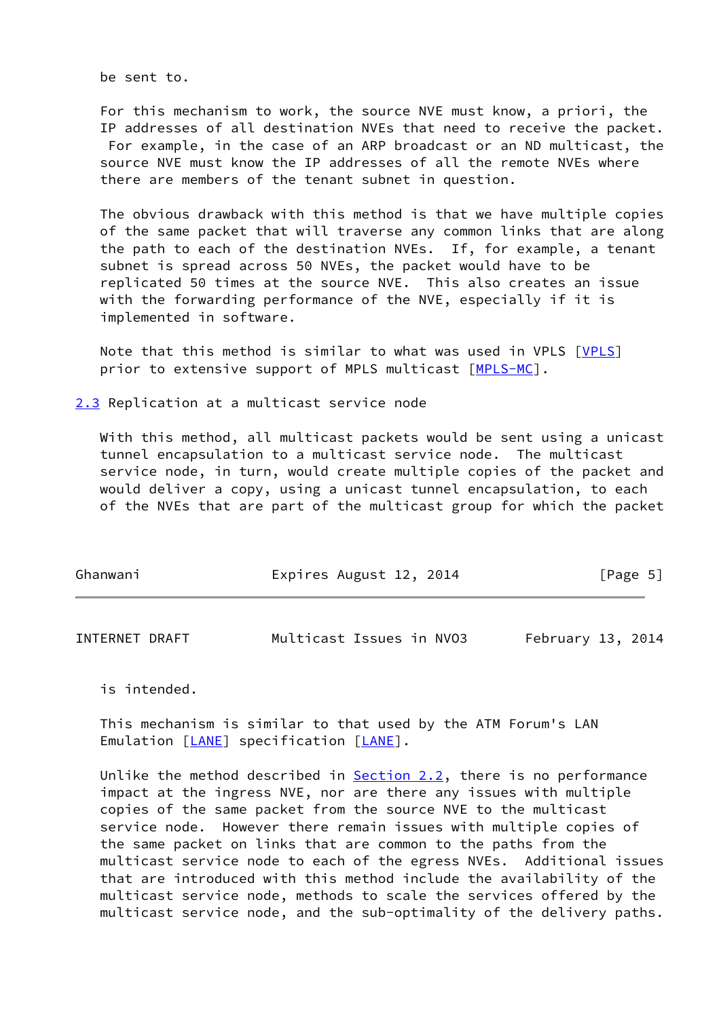be sent to.

 For this mechanism to work, the source NVE must know, a priori, the IP addresses of all destination NVEs that need to receive the packet. For example, in the case of an ARP broadcast or an ND multicast, the source NVE must know the IP addresses of all the remote NVEs where there are members of the tenant subnet in question.

 The obvious drawback with this method is that we have multiple copies of the same packet that will traverse any common links that are along the path to each of the destination NVEs. If, for example, a tenant subnet is spread across 50 NVEs, the packet would have to be replicated 50 times at the source NVE. This also creates an issue with the forwarding performance of the NVE, especially if it is implemented in software.

 Note that this method is similar to what was used in VPLS [[VPLS\]](#page-9-8) prior to extensive support of MPLS multicast [\[MPLS-MC](#page-9-9)].

<span id="page-5-0"></span>[2.3](#page-5-0) Replication at a multicast service node

 With this method, all multicast packets would be sent using a unicast tunnel encapsulation to a multicast service node. The multicast service node, in turn, would create multiple copies of the packet and would deliver a copy, using a unicast tunnel encapsulation, to each of the NVEs that are part of the multicast group for which the packet

| Ghanwani | Expires August 12, 2014 | [Page 5] |
|----------|-------------------------|----------|
|          |                         |          |

<span id="page-5-1"></span>

| INTERNET DRAFT | Multicast Issues in NVO3 |  | February 13, 2014 |  |
|----------------|--------------------------|--|-------------------|--|
|----------------|--------------------------|--|-------------------|--|

is intended.

 This mechanism is similar to that used by the ATM Forum's LAN Emulation [[LANE\]](#page-9-10) specification [\[LANE](#page-9-10)].

 Unlike the method described in [Section 2.2](#page-4-1), there is no performance impact at the ingress NVE, nor are there any issues with multiple copies of the same packet from the source NVE to the multicast service node. However there remain issues with multiple copies of the same packet on links that are common to the paths from the multicast service node to each of the egress NVEs. Additional issues that are introduced with this method include the availability of the multicast service node, methods to scale the services offered by the multicast service node, and the sub-optimality of the delivery paths.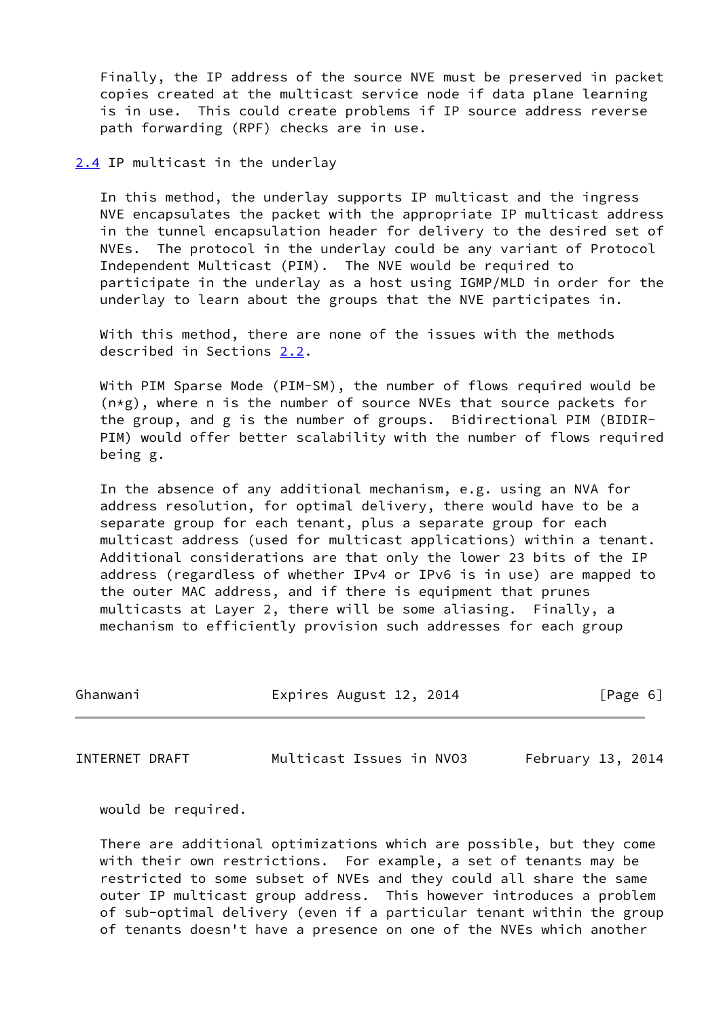Finally, the IP address of the source NVE must be preserved in packet copies created at the multicast service node if data plane learning is in use. This could create problems if IP source address reverse path forwarding (RPF) checks are in use.

<span id="page-6-0"></span>[2.4](#page-6-0) IP multicast in the underlay

 In this method, the underlay supports IP multicast and the ingress NVE encapsulates the packet with the appropriate IP multicast address in the tunnel encapsulation header for delivery to the desired set of NVEs. The protocol in the underlay could be any variant of Protocol Independent Multicast (PIM). The NVE would be required to participate in the underlay as a host using IGMP/MLD in order for the underlay to learn about the groups that the NVE participates in.

 With this method, there are none of the issues with the methods described in Sections [2.2](#page-4-1).

 With PIM Sparse Mode (PIM-SM), the number of flows required would be  $(n \times g)$ , where n is the number of source NVEs that source packets for the group, and g is the number of groups. Bidirectional PIM (BIDIR- PIM) would offer better scalability with the number of flows required being g.

 In the absence of any additional mechanism, e.g. using an NVA for address resolution, for optimal delivery, there would have to be a separate group for each tenant, plus a separate group for each multicast address (used for multicast applications) within a tenant. Additional considerations are that only the lower 23 bits of the IP address (regardless of whether IPv4 or IPv6 is in use) are mapped to the outer MAC address, and if there is equipment that prunes multicasts at Layer 2, there will be some aliasing. Finally, a mechanism to efficiently provision such addresses for each group

| Ghanwani | Expires August 12, 2014 | [Page 6] |
|----------|-------------------------|----------|
|          |                         |          |

<span id="page-6-1"></span>INTERNET DRAFT Multicast Issues in NVO3 February 13, 2014

would be required.

 There are additional optimizations which are possible, but they come with their own restrictions. For example, a set of tenants may be restricted to some subset of NVEs and they could all share the same outer IP multicast group address. This however introduces a problem of sub-optimal delivery (even if a particular tenant within the group of tenants doesn't have a presence on one of the NVEs which another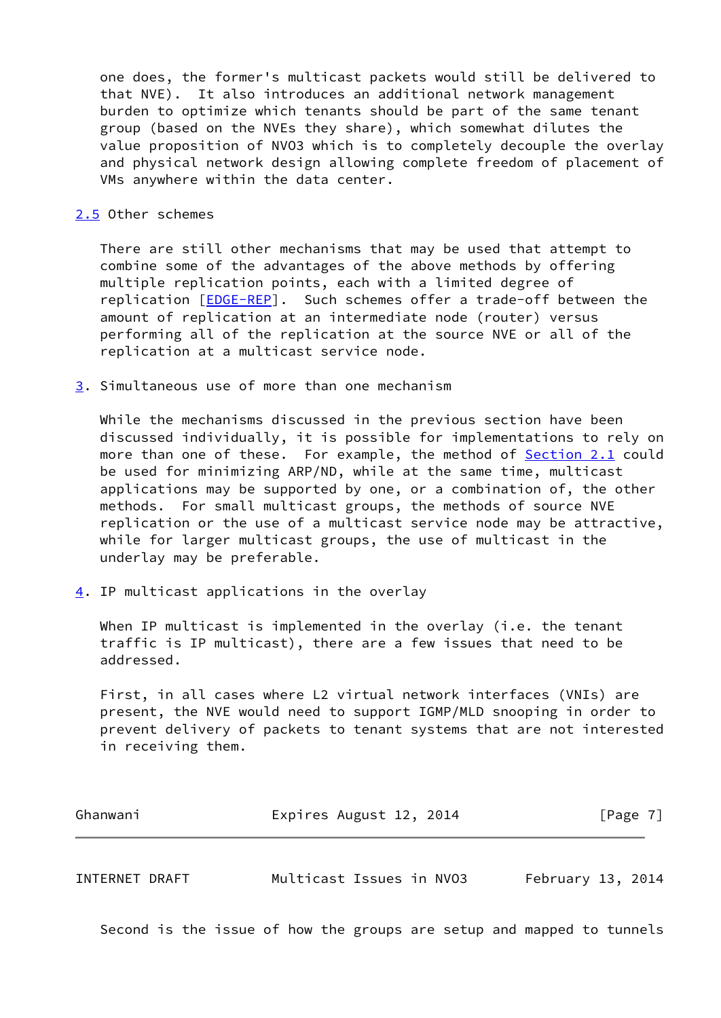one does, the former's multicast packets would still be delivered to that NVE). It also introduces an additional network management burden to optimize which tenants should be part of the same tenant group (based on the NVEs they share), which somewhat dilutes the value proposition of NVO3 which is to completely decouple the overlay and physical network design allowing complete freedom of placement of VMs anywhere within the data center.

### <span id="page-7-0"></span>[2.5](#page-7-0) Other schemes

 There are still other mechanisms that may be used that attempt to combine some of the advantages of the above methods by offering multiple replication points, each with a limited degree of replication [\[EDGE-REP](#page-9-11)]. Such schemes offer a trade-off between the amount of replication at an intermediate node (router) versus performing all of the replication at the source NVE or all of the replication at a multicast service node.

<span id="page-7-1"></span>[3](#page-7-1). Simultaneous use of more than one mechanism

 While the mechanisms discussed in the previous section have been discussed individually, it is possible for implementations to rely on more than one of these. For example, the method of **Section 2.1** could be used for minimizing ARP/ND, while at the same time, multicast applications may be supported by one, or a combination of, the other methods. For small multicast groups, the methods of source NVE replication or the use of a multicast service node may be attractive, while for larger multicast groups, the use of multicast in the underlay may be preferable.

<span id="page-7-2"></span>[4](#page-7-2). IP multicast applications in the overlay

When IP multicast is implemented in the overlay (i.e. the tenant traffic is IP multicast), there are a few issues that need to be addressed.

 First, in all cases where L2 virtual network interfaces (VNIs) are present, the NVE would need to support IGMP/MLD snooping in order to prevent delivery of packets to tenant systems that are not interested in receiving them.

| Ghanwani | Expires August 12, 2014 | [Page 7] |
|----------|-------------------------|----------|
|          |                         |          |

<span id="page-7-3"></span>INTERNET DRAFT Multicast Issues in NVO3 February 13, 2014

Second is the issue of how the groups are setup and mapped to tunnels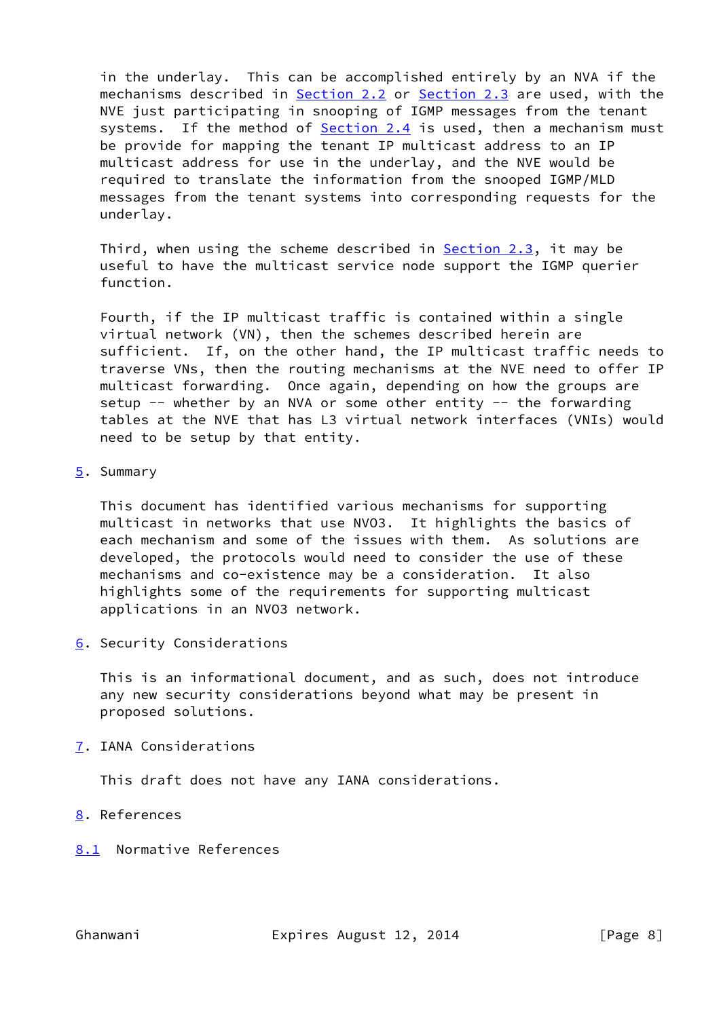in the underlay. This can be accomplished entirely by an NVA if the mechanisms described in [Section 2.2](#page-4-1) or [Section 2.3](#page-5-0) are used, with the NVE just participating in snooping of IGMP messages from the tenant systems. If the method of **[Section 2.4](#page-6-0)** is used, then a mechanism must be provide for mapping the tenant IP multicast address to an IP multicast address for use in the underlay, and the NVE would be required to translate the information from the snooped IGMP/MLD messages from the tenant systems into corresponding requests for the underlay.

Third, when using the scheme described in **Section 2.3**, it may be useful to have the multicast service node support the IGMP querier function.

 Fourth, if the IP multicast traffic is contained within a single virtual network (VN), then the schemes described herein are sufficient. If, on the other hand, the IP multicast traffic needs to traverse VNs, then the routing mechanisms at the NVE need to offer IP multicast forwarding. Once again, depending on how the groups are setup  $--$  whether by an NVA or some other entity  $--$  the forwarding tables at the NVE that has L3 virtual network interfaces (VNIs) would need to be setup by that entity.

## <span id="page-8-0"></span>[5](#page-8-0). Summary

 This document has identified various mechanisms for supporting multicast in networks that use NVO3. It highlights the basics of each mechanism and some of the issues with them. As solutions are developed, the protocols would need to consider the use of these mechanisms and co-existence may be a consideration. It also highlights some of the requirements for supporting multicast applications in an NVO3 network.

<span id="page-8-1"></span>[6](#page-8-1). Security Considerations

 This is an informational document, and as such, does not introduce any new security considerations beyond what may be present in proposed solutions.

<span id="page-8-2"></span>[7](#page-8-2). IANA Considerations

This draft does not have any IANA considerations.

- <span id="page-8-3"></span>[8](#page-8-3). References
- <span id="page-8-4"></span>[8.1](#page-8-4) Normative References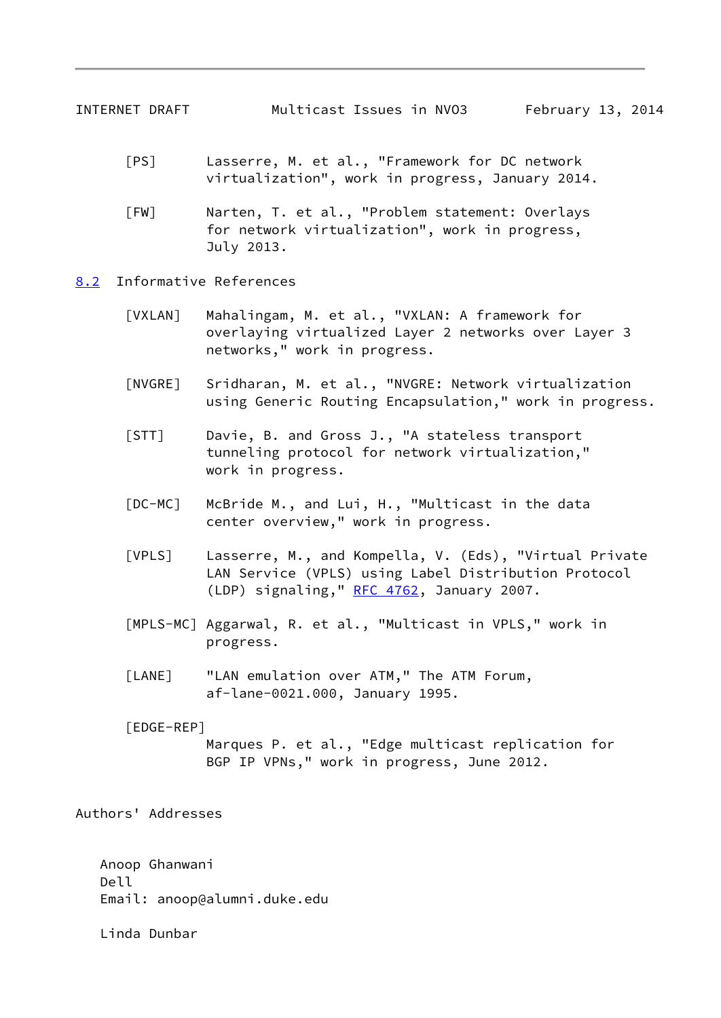- <span id="page-9-2"></span><span id="page-9-1"></span> [PS] Lasserre, M. et al., "Framework for DC network virtualization", work in progress, January 2014.
- <span id="page-9-3"></span> [FW] Narten, T. et al., "Problem statement: Overlays for network virtualization", work in progress, July 2013.
- <span id="page-9-7"></span><span id="page-9-6"></span><span id="page-9-5"></span><span id="page-9-4"></span><span id="page-9-0"></span>[8.2](#page-9-0) Informative References
	- [VXLAN] Mahalingam, M. et al., "VXLAN: A framework for overlaying virtualized Layer 2 networks over Layer 3 networks," work in progress.
	- [NVGRE] Sridharan, M. et al., "NVGRE: Network virtualization using Generic Routing Encapsulation," work in progress.
	- [STT] Davie, B. and Gross J., "A stateless transport tunneling protocol for network virtualization," work in progress.
	- [DC-MC] McBride M., and Lui, H., "Multicast in the data center overview," work in progress.
	- [VPLS] Lasserre, M., and Kompella, V. (Eds), "Virtual Private LAN Service (VPLS) using Label Distribution Protocol (LDP) signaling," [RFC 4762,](https://datatracker.ietf.org/doc/pdf/rfc4762) January 2007.
	- [MPLS-MC] Aggarwal, R. et al., "Multicast in VPLS," work in progress.
	- [LANE] "LAN emulation over ATM," The ATM Forum, af-lane-0021.000, January 1995.
	- [EDGE-REP] Marques P. et al., "Edge multicast replication for BGP IP VPNs," work in progress, June 2012.

<span id="page-9-11"></span><span id="page-9-10"></span><span id="page-9-9"></span><span id="page-9-8"></span>Authors' Addresses

 Anoop Ghanwani Dell Email: anoop@alumni.duke.edu

Linda Dunbar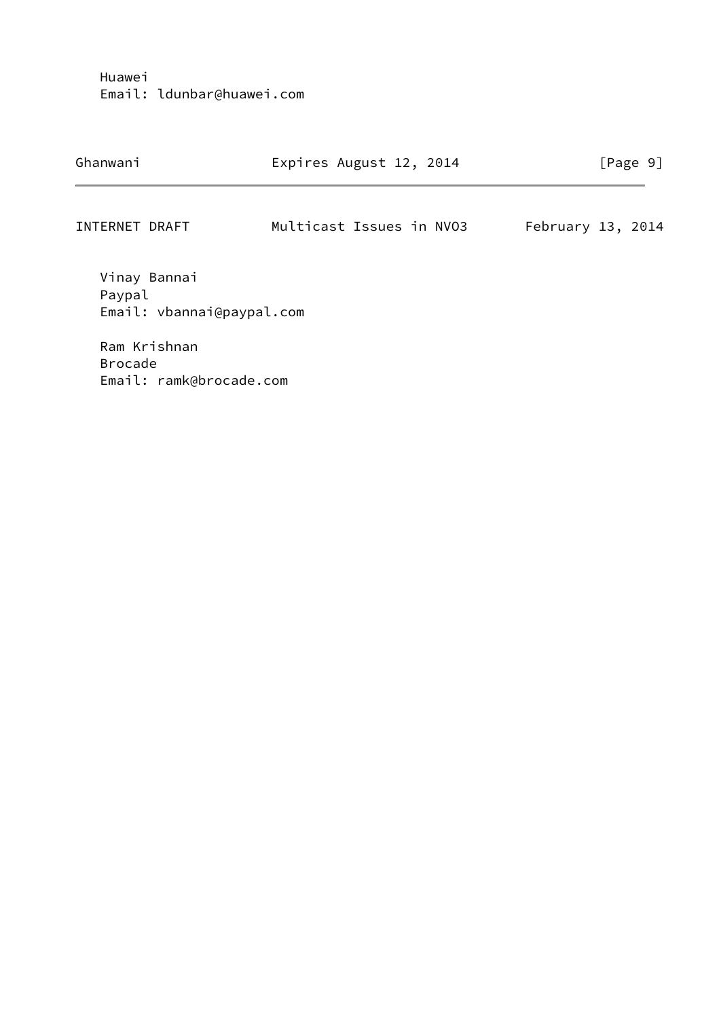Huawei Email: ldunbar@huawei.com

| Ghanwani       | Expires August 12, 2014  | [Page 9]            |
|----------------|--------------------------|---------------------|
| INTERNET DRAFT | Multicast Issues in NV03 | February $13, 2014$ |

 Vinay Bannai Paypal Email: vbannai@paypal.com

 Ram Krishnan Brocade Email: ramk@brocade.com